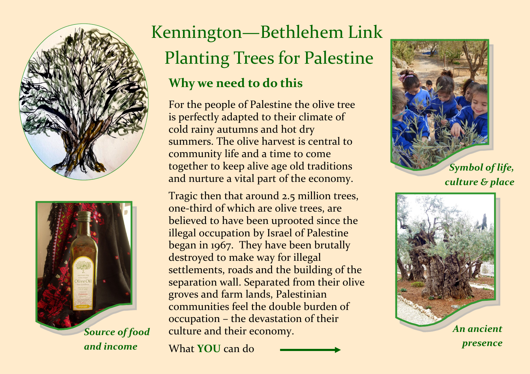



and income

## Kennington—Bethlehem Link Planting Trees for Palestine Why we need to do this

For the people of Palestine the olive tree is perfectly adapted to their climate of cold rainy autumns and hot dry summers. The olive harvest is central to community life and a time to come together to keep alive age old traditions and nurture a vital part of the economy.

Tragic then that around 2.5 million trees, one-third of which are olive trees, are believed to have been uprooted since the illegal occupation by Israel of Palestine began in 1967. They have been brutally destroyed to make way for illegal settlements, roads and the building of the separation wall. Separated from their olive groves and farm lands, Palestinian communities feel the double burden of occupation – the devastation of their culture and their economy.

What YOU can do



culture & place



presence